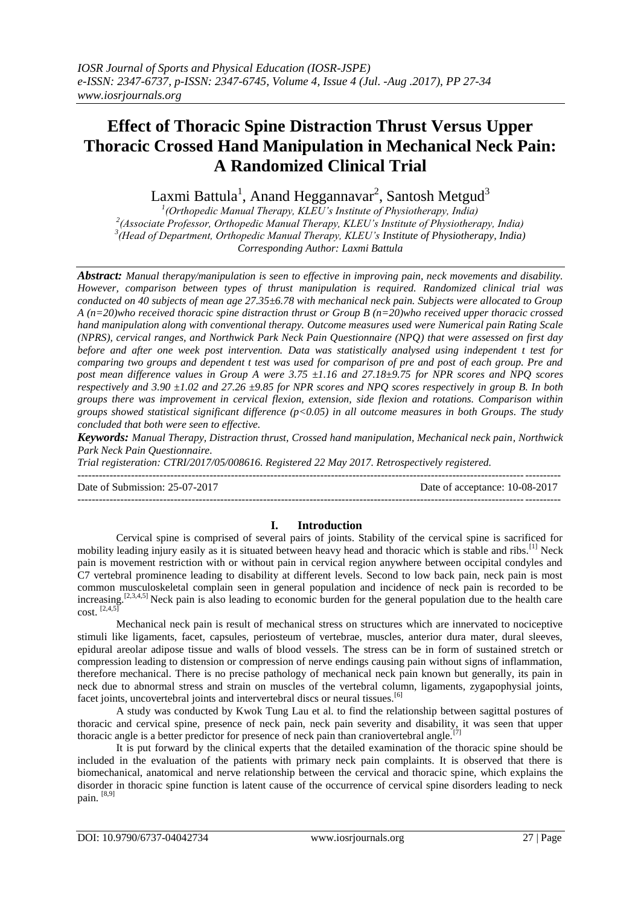# **Effect of Thoracic Spine Distraction Thrust Versus Upper Thoracic Crossed Hand Manipulation in Mechanical Neck Pain: A Randomized Clinical Trial**

Laxmi Battula $^1$ , Anand Heggannavar $^2$ , Santosh Metgud $^3$ 

 *(Orthopedic Manual Therapy, KLEU's Institute of Physiotherapy, India) (Associate Professor, Orthopedic Manual Therapy, KLEU's Institute of Physiotherapy, India) (Head of Department, Orthopedic Manual Therapy, KLEU's Institute of Physiotherapy, India) Corresponding Author: Laxmi Battula*

*Abstract: Manual therapy/manipulation is seen to effective in improving pain, neck movements and disability. However, comparison between types of thrust manipulation is required. Randomized clinical trial was conducted on 40 subjects of mean age 27.35±6.78 with mechanical neck pain. Subjects were allocated to Group A (n=20)who received thoracic spine distraction thrust or Group B (n=20)who received upper thoracic crossed hand manipulation along with conventional therapy. Outcome measures used were Numerical pain Rating Scale (NPRS), cervical ranges, and Northwick Park Neck Pain Questionnaire (NPQ) that were assessed on first day before and after one week post intervention. Data was statistically analysed using independent t test for comparing two groups and dependent t test was used for comparison of pre and post of each group. Pre and post mean difference values in Group A were 3.75 ±1.16 and 27.18±9.75 for NPR scores and NPQ scores respectively and 3.90 ±1.02 and 27.26 ±9.85 for NPR scores and NPQ scores respectively in group B. In both groups there was improvement in cervical flexion, extension, side flexion and rotations. Comparison within groups showed statistical significant difference (p<0.05) in all outcome measures in both Groups. The study concluded that both were seen to effective.*

*Keywords: Manual Therapy, Distraction thrust, Crossed hand manipulation, Mechanical neck pain, Northwick Park Neck Pain Questionnaire.*

*Trial registeration: CTRI/2017/05/008616. Registered 22 May 2017. Retrospectively registered.*

---------------------------------------------------------------------------------------------------------------------------------------

Date of Submission: 25-07-2017 Date of acceptance: 10-08-2017 ---------------------------------------------------------------------------------------------------------------------------------------

## **I. Introduction**

Cervical spine is comprised of several pairs of joints. Stability of the cervical spine is sacrificed for mobility leading injury easily as it is situated between heavy head and thoracic which is stable and ribs.<sup>[1]</sup> Neck pain is movement restriction with or without pain in cervical region anywhere between occipital condyles and C7 vertebral prominence leading to disability at different levels. Second to low back pain, neck pain is most common musculoskeletal complain seen in general population and incidence of neck pain is recorded to be increasing.[2,3,4,5] Neck pain is also leading to economic burden for the general population due to the health care  $cost.$ <sup>[2,4,5]</sup>

Mechanical neck pain is result of mechanical stress on structures which are innervated to nociceptive stimuli like ligaments, facet, capsules, periosteum of vertebrae, muscles, anterior dura mater, dural sleeves, epidural areolar adipose tissue and walls of blood vessels. The stress can be in form of sustained stretch or compression leading to distension or compression of nerve endings causing pain without signs of inflammation, therefore mechanical. There is no precise pathology of mechanical neck pain known but generally, its pain in neck due to abnormal stress and strain on muscles of the vertebral column, ligaments, zygapophysial joints, facet joints, uncovertebral joints and intervertebral discs or neural tissues.<sup>[6]</sup>

A study was conducted by Kwok Tung Lau et al. to find the relationship between sagittal postures of thoracic and cervical spine, presence of neck pain, neck pain severity and disability, it was seen that upper thoracic angle is a better predictor for presence of neck pain than craniovertebral angle.

It is put forward by the clinical experts that the detailed examination of the thoracic spine should be included in the evaluation of the patients with primary neck pain complaints. It is observed that there is biomechanical, anatomical and nerve relationship between the cervical and thoracic spine, which explains the disorder in thoracic spine function is latent cause of the occurrence of cervical spine disorders leading to neck pain. [8,9]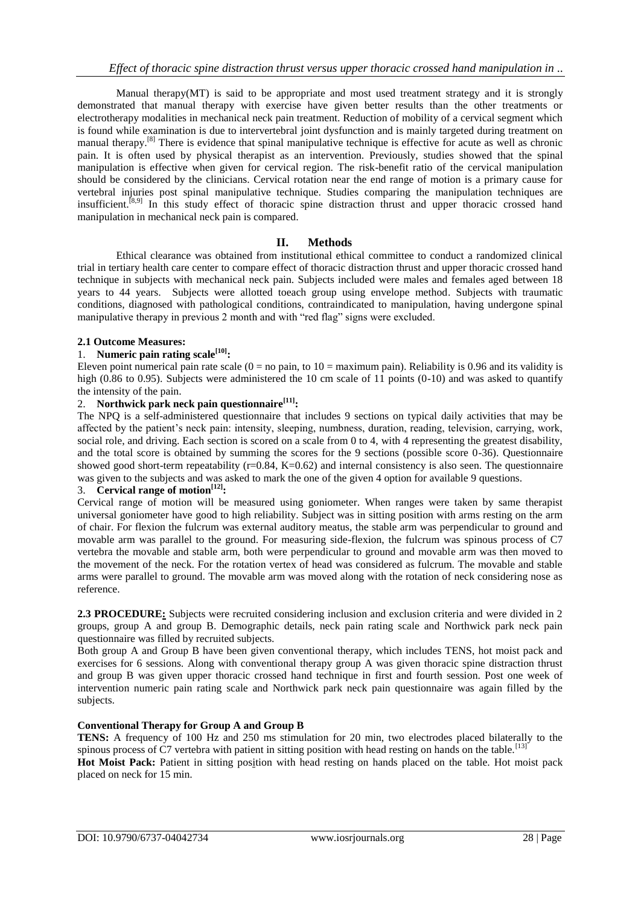Manual therapy(MT) is said to be appropriate and most used treatment strategy and it is strongly demonstrated that manual therapy with exercise have given better results than the other treatments or electrotherapy modalities in mechanical neck pain treatment. Reduction of mobility of a cervical segment which is found while examination is due to intervertebral joint dysfunction and is mainly targeted during treatment on manual therapy.<sup>[8]</sup> There is evidence that spinal manipulative technique is effective for acute as well as chronic pain. It is often used by physical therapist as an intervention. Previously, studies showed that the spinal manipulation is effective when given for cervical region. The risk-benefit ratio of the cervical manipulation should be considered by the clinicians. Cervical rotation near the end range of motion is a primary cause for vertebral injuries post spinal manipulative technique. Studies comparing the manipulation techniques are insufficient.<sup>[8,9]</sup> In this study effect of thoracic spine distraction thrust and upper thoracic crossed hand manipulation in mechanical neck pain is compared.

## **II. Methods**

Ethical clearance was obtained from institutional ethical committee to conduct a randomized clinical trial in tertiary health care center to compare effect of thoracic distraction thrust and upper thoracic crossed hand technique in subjects with mechanical neck pain. Subjects included were males and females aged between 18 years to 44 years. Subjects were allotted toeach group using envelope method. Subjects with traumatic conditions, diagnosed with pathological conditions, contraindicated to manipulation, having undergone spinal manipulative therapy in previous 2 month and with "red flag" signs were excluded.

## **2.1 Outcome Measures:**

#### 1. **Numeric pain rating scale[10]:**

Eleven point numerical pain rate scale  $(0 = no \,\text{pain}, \text{to } 10 = \text{maximum} \,\text{pain})$ . Reliability is 0.96 and its validity is high (0.86 to 0.95). Subjects were administered the 10 cm scale of 11 points (0-10) and was asked to quantify the intensity of the pain.

#### 2. **Northwick park neck pain questionnaire[11]:**

The NPQ is a self-administered questionnaire that includes 9 sections on typical daily activities that may be affected by the patient's neck pain: intensity, sleeping, numbness, duration, reading, television, carrying, work, social role, and driving. Each section is scored on a scale from 0 to 4, with 4 representing the greatest disability, and the total score is obtained by summing the scores for the 9 sections (possible score 0-36). Questionnaire showed good short-term repeatability  $(r=0.84, K=0.62)$  and internal consistency is also seen. The questionnaire was given to the subjects and was asked to mark the one of the given 4 option for available 9 questions.

# 3. **Cervical range of motion[12]:**

Cervical range of motion will be measured using goniometer. When ranges were taken by same therapist universal goniometer have good to high reliability. Subject was in sitting position with arms resting on the arm of chair. For flexion the fulcrum was external auditory meatus, the stable arm was perpendicular to ground and movable arm was parallel to the ground. For measuring side-flexion, the fulcrum was spinous process of C7 vertebra the movable and stable arm, both were perpendicular to ground and movable arm was then moved to the movement of the neck. For the rotation vertex of head was considered as fulcrum. The movable and stable arms were parallel to ground. The movable arm was moved along with the rotation of neck considering nose as reference.

**2.3 PROCEDURE:** Subjects were recruited considering inclusion and exclusion criteria and were divided in 2 groups, group A and group B. Demographic details, neck pain rating scale and Northwick park neck pain questionnaire was filled by recruited subjects.

Both group A and Group B have been given conventional therapy, which includes TENS, hot moist pack and exercises for 6 sessions. Along with conventional therapy group A was given thoracic spine distraction thrust and group B was given upper thoracic crossed hand technique in first and fourth session. Post one week of intervention numeric pain rating scale and Northwick park neck pain questionnaire was again filled by the subjects.

#### **Conventional Therapy for Group A and Group B**

**TENS:** A frequency of 100 Hz and 250 ms stimulation for 20 min, two electrodes placed bilaterally to the spinous process of C7 vertebra with patient in sitting position with head resting on hands on the table.<sup>[13]</sup>

**Hot Moist Pack:** Patient in sitting position with head resting on hands placed on the table. Hot moist pack placed on neck for 15 min.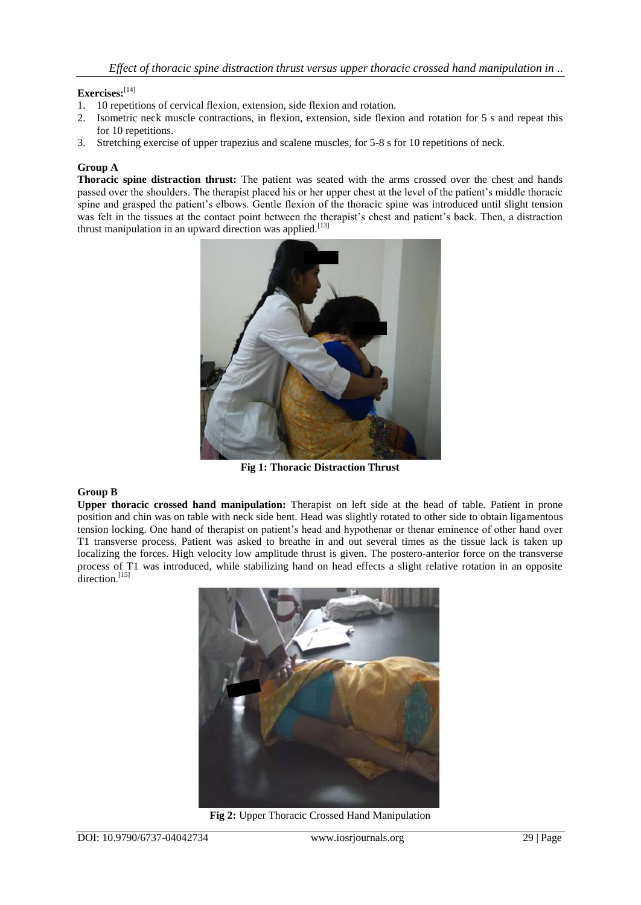## **Exercises:** [14]

- 1. 10 repetitions of cervical flexion, extension, side flexion and rotation.
- 2. Isometric neck muscle contractions, in flexion, extension, side flexion and rotation for 5 s and repeat this for 10 repetitions.
- 3. Stretching exercise of upper trapezius and scalene muscles, for 5-8 s for 10 repetitions of neck.

#### **Group A**

**Thoracic spine distraction thrust:** The patient was seated with the arms crossed over the chest and hands passed over the shoulders. The therapist placed his or her upper chest at the level of the patient's middle thoracic spine and grasped the patient's elbows. Gentle flexion of the thoracic spine was introduced until slight tension was felt in the tissues at the contact point between the therapist's chest and patient's back. Then, a distraction thrust manipulation in an upward direction was applied.<sup>[13]</sup>



**Fig 1: Thoracic Distraction Thrust**

## **Group B**

**Upper thoracic crossed hand manipulation:** Therapist on left side at the head of table. Patient in prone position and chin was on table with neck side bent. Head was slightly rotated to other side to obtain ligamentous tension locking. One hand of therapist on patient's head and hypothenar or thenar eminence of other hand over T1 transverse process. Patient was asked to breathe in and out several times as the tissue lack is taken up localizing the forces. High velocity low amplitude thrust is given. The postero-anterior force on the transverse process of T1 was introduced, while stabilizing hand on head effects a slight relative rotation in an opposite direction.<sup>[15]</sup>



**Fig 2:** Upper Thoracic Crossed Hand Manipulation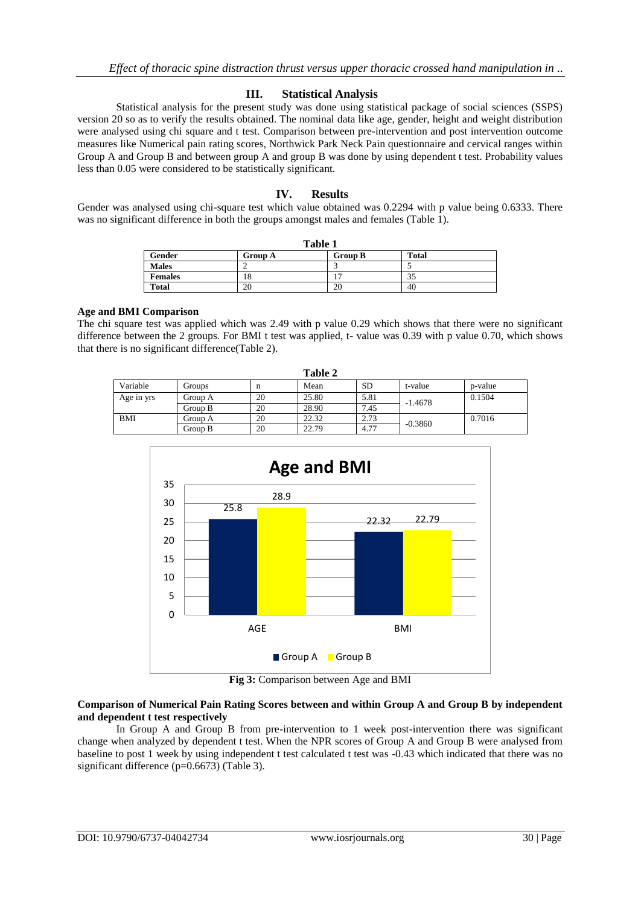## **III. Statistical Analysis**

Statistical analysis for the present study was done using statistical package of social sciences (SSPS) version 20 so as to verify the results obtained. The nominal data like age, gender, height and weight distribution were analysed using chi square and t test. Comparison between pre-intervention and post intervention outcome measures like Numerical pain rating scores, Northwick Park Neck Pain questionnaire and cervical ranges within Group A and Group B and between group A and group B was done by using dependent t test. Probability values less than 0.05 were considered to be statistically significant.

## **IV. Results**

Gender was analysed using chi-square test which value obtained was 0.2294 with p value being 0.6333. There was no significant difference in both the groups amongst males and females (Table 1).

| Table 1        |                |                |       |  |  |
|----------------|----------------|----------------|-------|--|--|
| Gender         | <b>Group A</b> | <b>Group B</b> | Total |  |  |
| <b>Males</b>   |                |                |       |  |  |
| <b>Females</b> | 18             |                |       |  |  |
| <b>Total</b>   | 20             | 20             | 40    |  |  |

#### **Age and BMI Comparison**

The chi square test was applied which was 2.49 with p value 0.29 which shows that there were no significant difference between the 2 groups. For BMI t test was applied, t- value was 0.39 with p value 0.70, which shows that there is no significant difference(Table 2).

| <b>Table 2</b> |         |    |       |           |           |         |  |
|----------------|---------|----|-------|-----------|-----------|---------|--|
| Variable       | Groups  | n  | Mean  | <b>SD</b> | t-value   | p-value |  |
| Age in yrs     | Group A | 20 | 25.80 | 5.81      | $-1.4678$ | 0.1504  |  |
|                | Group B | 20 | 28.90 | 7.45      |           |         |  |
| BMI            | Group A | 20 | 22.32 | 2.73      | $-0.3860$ | 0.7016  |  |
|                | Group B | 20 | 22.79 | 4.77      |           |         |  |



**Fig 3:** Comparison between Age and BMI

#### **Comparison of Numerical Pain Rating Scores between and within Group A and Group B by independent and dependent t test respectively**

In Group A and Group B from pre-intervention to 1 week post-intervention there was significant change when analyzed by dependent t test. When the NPR scores of Group A and Group B were analysed from baseline to post 1 week by using independent t test calculated t test was -0.43 which indicated that there was no significant difference (p=0.6673) (Table 3).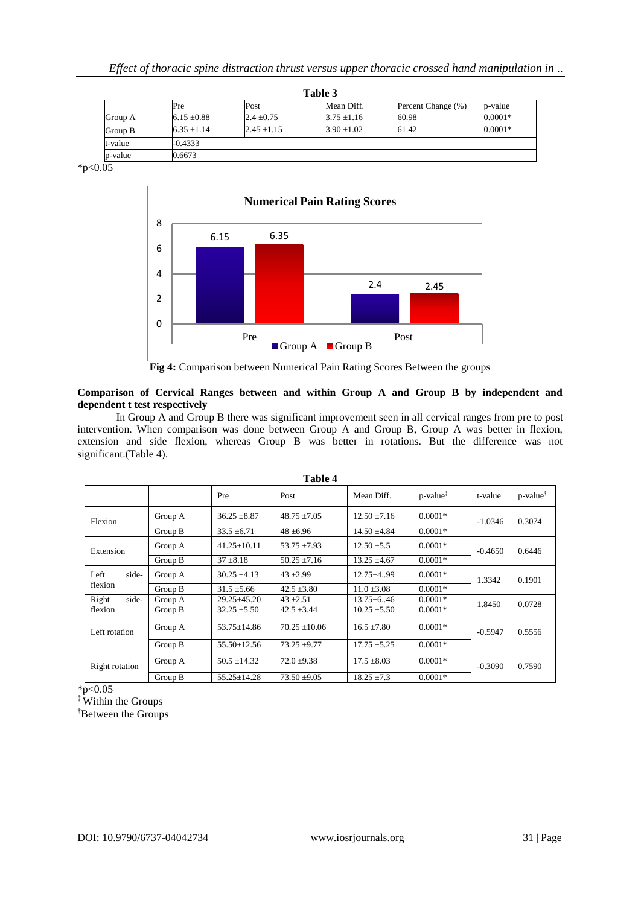| Table 3 |                 |               |               |                    |           |  |
|---------|-----------------|---------------|---------------|--------------------|-----------|--|
|         | Pre             | Post          | Mean Diff.    | Percent Change (%) | p-value   |  |
| Group A | $6.15 \pm 0.88$ | $2.4 + 0.75$  | $3.75 + 1.16$ | 60.98              | $0.0001*$ |  |
| Group B | $6.35 + 1.14$   | $2.45 + 1.15$ | $3.90 + 1.02$ | 61.42              | $0.0001*$ |  |
| t-value | $-0.4333$       |               |               |                    |           |  |
| p-value | 0.6673          |               |               |                    |           |  |

 $*_{p<0.05}$ 



**Fig 4:** Comparison between Numerical Pain Rating Scores Between the groups

#### **Comparison of Cervical Ranges between and within Group A and Group B by independent and dependent t test respectively**

In Group A and Group B there was significant improvement seen in all cervical ranges from pre to post intervention. When comparison was done between Group A and Group B, Group A was better in flexion, extension and side flexion, whereas Group B was better in rotations. But the difference was not significant.(Table 4).

| таше 4         |         |                   |                   |                  |                                             |           |                         |  |
|----------------|---------|-------------------|-------------------|------------------|---------------------------------------------|-----------|-------------------------|--|
|                |         | Pre               | Post              | Mean Diff.       | $p$ -value <sup><math>\ddagger</math></sup> | t-value   | $p$ -value <sup>†</sup> |  |
| Flexion        | Group A | $36.25 \pm 8.87$  | $48.75 \pm 7.05$  | $12.50 \pm 7.16$ | $0.0001*$                                   | $-1.0346$ | 0.3074                  |  |
|                | Group B | $33.5 \pm 6.71$   | $48 + 6.96$       | $14.50 \pm 4.84$ | $0.0001*$                                   |           |                         |  |
| Extension      | Group A | $41.25 \pm 10.11$ | $53.75 \pm 7.93$  | $12.50 \pm 5.5$  | $0.0001*$                                   | $-0.4650$ | 0.6446                  |  |
|                | Group B | $37 \pm 8.18$     | $50.25 \pm 7.16$  | $13.25 \pm 4.67$ | $0.0001*$                                   |           |                         |  |
| side-<br>Left  | Group A | $30.25 \pm 4.13$  | $43 + 2.99$       | $12.75 \pm 4.99$ | $0.0001*$                                   | 1.3342    | 0.1901                  |  |
| flexion        | Group B | $31.5 \pm 5.66$   | $42.5 \pm 3.80$   | $11.0 \pm 3.08$  | $0.0001*$                                   |           |                         |  |
| Right<br>side- | Group A | $29.25 \pm 45.20$ | $43 + 2.51$       | $13.75 \pm 6.46$ | $0.0001*$                                   | 1.8450    | 0.0728                  |  |
| flexion        | Group B | $32.25 \pm 5.50$  | $42.5 \pm 3.44$   | $10.25 \pm 5.50$ | $0.0001*$                                   |           |                         |  |
| Left rotation  | Group A | $53.75 \pm 14.86$ | $70.25 \pm 10.06$ | $16.5 \pm 7.80$  | $0.0001*$                                   | $-0.5947$ | 0.5556                  |  |
|                | Group B | $55.50 \pm 12.56$ | $73.25 + 9.77$    | $17.75 \pm 5.25$ | $0.0001*$                                   |           |                         |  |
| Right rotation | Group A | $50.5 \pm 14.32$  | $72.0 \pm 9.38$   | $17.5 \pm 8.03$  | $0.0001*$                                   | $-0.3090$ | 0.7590                  |  |
|                | Group B | $55.25 \pm 14.28$ | $73.50 \pm 9.05$  | $18.25 \pm 7.3$  | $0.0001*$                                   |           |                         |  |

**Table 4**

 $*p<0.05$ 

‡ Within the Groups

†Between the Groups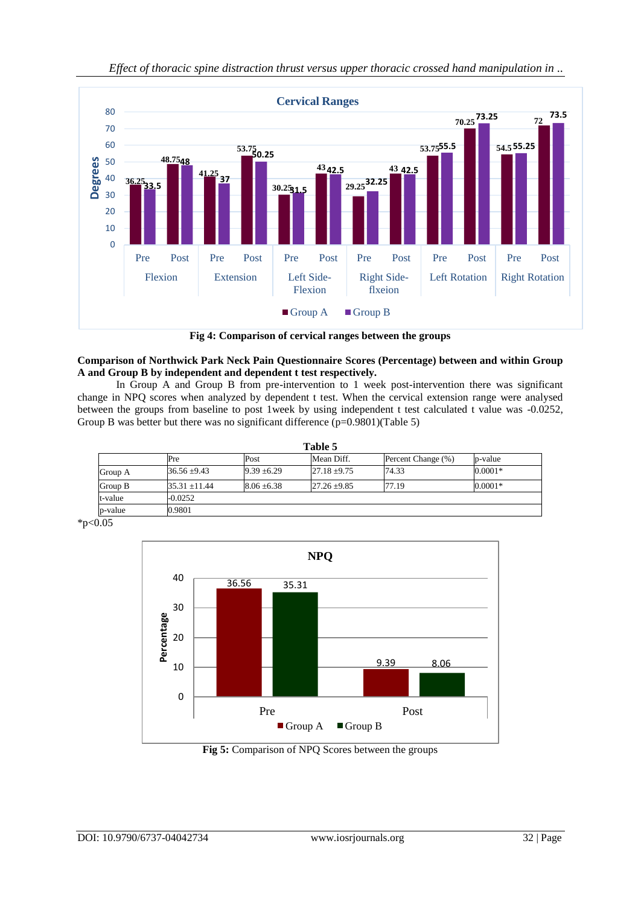

*Effect of thoracic spine distraction thrust versus upper thoracic crossed hand manipulation in ..*

**Fig 4: Comparison of cervical ranges between the groups**

## **Comparison of Northwick Park Neck Pain Questionnaire Scores (Percentage) between and within Group A and Group B by independent and dependent t test respectively.**

In Group A and Group B from pre-intervention to 1 week post-intervention there was significant change in NPQ scores when analyzed by dependent t test. When the cervical extension range were analysed between the groups from baseline to post 1week by using independent t test calculated t value was -0.0252, Group B was better but there was no significant difference (p=0.9801)(Table 5)

| Table 5 |                  |                 |                  |                    |           |  |
|---------|------------------|-----------------|------------------|--------------------|-----------|--|
|         | Pre              | Post            | Mean Diff.       | Percent Change (%) | p-value   |  |
| Group A | $36.56 \pm 9.43$ | $9.39 \pm 6.29$ | $27.18 \pm 9.75$ | 74.33              | $0.0001*$ |  |
| Group B | $35.31 + 11.44$  | $8.06 \pm 6.38$ | $27.26 \pm 9.85$ | 77.19              | $0.0001*$ |  |
| t-value | $-0.0252$        |                 |                  |                    |           |  |
| p-value | 0.9801           |                 |                  |                    |           |  |

 $*p<0.05$ 



**Fig 5:** Comparison of NPQ Scores between the groups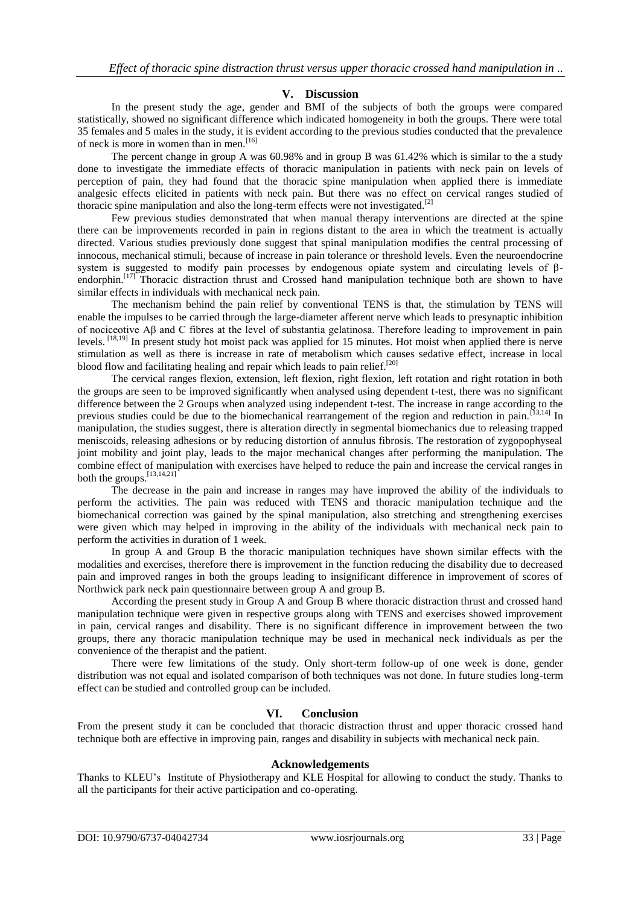#### **V. Discussion**

In the present study the age, gender and BMI of the subjects of both the groups were compared statistically, showed no significant difference which indicated homogeneity in both the groups. There were total 35 females and 5 males in the study, it is evident according to the previous studies conducted that the prevalence of neck is more in women than in men.<sup>[16]</sup>

The percent change in group A was 60.98% and in group B was 61.42% which is similar to the a study done to investigate the immediate effects of thoracic manipulation in patients with neck pain on levels of perception of pain, they had found that the thoracic spine manipulation when applied there is immediate analgesic effects elicited in patients with neck pain. But there was no effect on cervical ranges studied of thoracic spine manipulation and also the long-term effects were not investigated.[2]

Few previous studies demonstrated that when manual therapy interventions are directed at the spine there can be improvements recorded in pain in regions distant to the area in which the treatment is actually directed. Various studies previously done suggest that spinal manipulation modifies the central processing of innocous, mechanical stimuli, because of increase in pain tolerance or threshold levels. Even the neuroendocrine system is suggested to modify pain processes by endogenous opiate system and circulating levels of βendorphin.<sup>[17]</sup> Thoracic distraction thrust and Crossed hand manipulation technique both are shown to have similar effects in individuals with mechanical neck pain.

The mechanism behind the pain relief by conventional TENS is that, the stimulation by TENS will enable the impulses to be carried through the large-diameter afferent nerve which leads to presynaptic inhibition of nociceotive Aβ and C fibres at the level of substantia gelatinosa. Therefore leading to improvement in pain levels. [18,19] In present study hot moist pack was applied for 15 minutes. Hot moist when applied there is nerve stimulation as well as there is increase in rate of metabolism which causes sedative effect, increase in local blood flow and facilitating healing and repair which leads to pain relief.<sup>[20]</sup>

The cervical ranges flexion, extension, left flexion, right flexion, left rotation and right rotation in both the groups are seen to be improved significantly when analysed using dependent t-test, there was no significant difference between the 2 Groups when analyzed using independent t-test. The increase in range according to the previous studies could be due to the biomechanical rearrangement of the region and reduction in pain.<sup>[13,14]</sup> In manipulation, the studies suggest, there is alteration directly in segmental biomechanics due to releasing trapped meniscoids, releasing adhesions or by reducing distortion of annulus fibrosis. The restoration of zygopophyseal joint mobility and joint play, leads to the major mechanical changes after performing the manipulation. The combine effect of manipulation with exercises have helped to reduce the pain and increase the cervical ranges in both the groups.  $^{[13,14,21]}$ 

The decrease in the pain and increase in ranges may have improved the ability of the individuals to perform the activities. The pain was reduced with TENS and thoracic manipulation technique and the biomechanical correction was gained by the spinal manipulation, also stretching and strengthening exercises were given which may helped in improving in the ability of the individuals with mechanical neck pain to perform the activities in duration of 1 week.

In group A and Group B the thoracic manipulation techniques have shown similar effects with the modalities and exercises, therefore there is improvement in the function reducing the disability due to decreased pain and improved ranges in both the groups leading to insignificant difference in improvement of scores of Northwick park neck pain questionnaire between group A and group B.

According the present study in Group A and Group B where thoracic distraction thrust and crossed hand manipulation technique were given in respective groups along with TENS and exercises showed improvement in pain, cervical ranges and disability. There is no significant difference in improvement between the two groups, there any thoracic manipulation technique may be used in mechanical neck individuals as per the convenience of the therapist and the patient.

There were few limitations of the study. Only short-term follow-up of one week is done, gender distribution was not equal and isolated comparison of both techniques was not done. In future studies long-term effect can be studied and controlled group can be included.

#### **VI. Conclusion**

From the present study it can be concluded that thoracic distraction thrust and upper thoracic crossed hand technique both are effective in improving pain, ranges and disability in subjects with mechanical neck pain.

#### **Acknowledgements**

Thanks to KLEU's Institute of Physiotherapy and KLE Hospital for allowing to conduct the study. Thanks to all the participants for their active participation and co-operating.